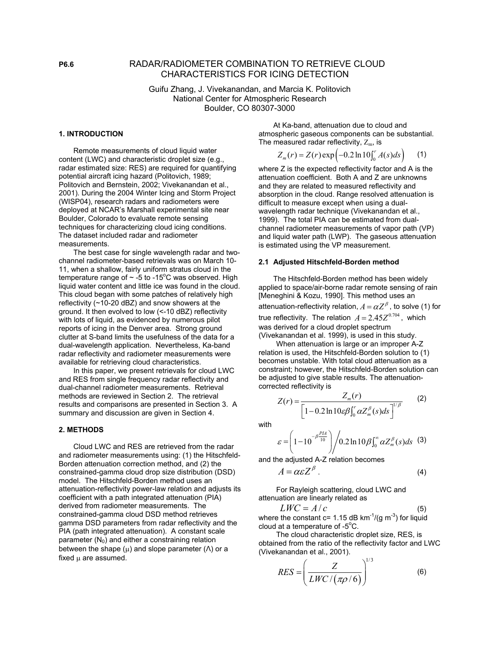# **P6.6** RADAR/RADIOMETER COMBINATION TO RETRIEVE CLOUD CHARACTERISTICS FOR ICING DETECTION

Guifu Zhang, J. Vivekanandan, and Marcia K. Politovich National Center for Atmospheric Research Boulder, CO 80307-3000

### **1. INTRODUCTION**

 Remote measurements of cloud liquid water content (LWC) and characteristic droplet size (e.g., radar estimated size: RES) are required for quantifying potential aircraft icing hazard (Politovich, 1989; Politovich and Bernstein, 2002; Vivekanandan et al., 2001). During the 2004 Winter Icing and Storm Project (WISP04), research radars and radiometers were deployed at NCAR's Marshall experimental site near Boulder, Colorado to evaluate remote sensing techniques for characterizing cloud icing conditions. The dataset included radar and radiometer measurements.

 The best case for single wavelength radar and twochannel radiometer-based retrievals was on March 10- 11, when a shallow, fairly uniform stratus cloud in the temperature range of  $\sim$  -5 to -15°C was observed. High liquid water content and little ice was found in the cloud. This cloud began with some patches of relatively high reflectivity (~10-20 dBZ) and snow showers at the ground. It then evolved to low (<-10 dBZ) reflectivity with lots of liquid, as evidenced by numerous pilot reports of icing in the Denver area. Strong ground clutter at S-band limits the usefulness of the data for a dual-wavelength application. Nevertheless, Ka-band radar reflectivity and radiometer measurements were available for retrieving cloud characteristics.

 In this paper, we present retrievals for cloud LWC and RES from single frequency radar reflectivity and dual-channel radiometer measurements. Retrieval methods are reviewed in Section 2. The retrieval results and comparisons are presented in Section 3. A summary and discussion are given in Section 4.

### **2. METHODS**

 Cloud LWC and RES are retrieved from the radar and radiometer measurements using: (1) the Hitschfeld-Borden attenuation correction method, and (2) the constrained-gamma cloud drop size distribution (DSD) model. The Hitschfeld-Borden method uses an attenuation-reflectivity power-law relation and adjusts its coefficient with a path integrated attenuation (PIA) derived from radiometer measurements. The constrained-gamma cloud DSD method retrieves gamma DSD parameters from radar reflectivity and the PIA (path integrated attenuation). A constant scale parameter  $(N_0)$  and either a constraining relation between the shape  $(\mu)$  and slope parameter ( $\Lambda$ ) or a fixed  $\mu$  are assumed.

 At Ka-band, attenuation due to cloud and atmospheric gaseous components can be substantial. The measured radar reflectivity,  $Z<sub>m</sub>$ , is

$$
Z_m(r) = Z(r) \exp\left(-0.2 \ln 10 \int_0^r A(s) ds\right) \tag{1}
$$

where Z is the expected reflectivity factor and A is the attenuation coefficient. Both A and Z are unknowns and they are related to measured reflectivity and absorption in the cloud. Range resolved attenuation is difficult to measure except when using a dualwavelength radar technique (Vivekanandan et al., 1999). The total PIA can be estimated from dualchannel radiometer measurements of vapor path (VP) and liquid water path (LWP). The gaseous attenuation is estimated using the VP measurement.

### **2.1 Adjusted Hitschfeld-Borden method**

 The Hitschfeld-Borden method has been widely applied to space/air-borne radar remote sensing of rain [Meneghini & Kozu, 1990]. This method uses an attenuation-reflectivity relation,  $A = \alpha Z^{\beta}$ , to solve (1) for true reflectivity. The relation  $A = 2.45 Z^{0.704}$ , which was derived for a cloud droplet spectrum (Vivekanandan et al. 1999), is used in this study.

 When attenuation is large or an improper A-Z relation is used, the Hitschfeld-Borden solution to (1) becomes unstable. With total cloud attenuation as a constraint; however, the Hitschfeld-Borden solution can be adjusted to give stable results. The attenuationcorrected reflectivity is

$$
Z(r) = \frac{Z_m(r)}{\left[1 - 0.2 \ln 10 \varepsilon \beta \int_0^r \alpha Z_m^{\beta}(s) ds\right]^{1/\beta}}
$$
 (2)

with

$$
\varepsilon = \left(1 - 10^{-\beta} \frac{PIA}{10}\right) \bigg/ 0.2 \ln 10 \beta \int_0^\infty \alpha Z_m^{\beta}(s) ds \quad (3)
$$

and the adjusted A-Z relation becomes

$$
A = \alpha \varepsilon Z^{\beta} \tag{4}
$$

 For Rayleigh scattering, cloud LWC and attenuation are linearly related as

$$
LWC = A/c \tag{5}
$$

where the constant c= 1.15 dB  $km^{-1}/(g \, m^{-3})$  for liquid cloud at a temperature of  $-5^{\circ}$ C.

 The cloud characteristic droplet size, RES, is obtained from the ratio of the reflectivity factor and LWC (Vivekanandan et al., 2001).

$$
RES = \left(\frac{Z}{LWC / (\pi \rho / 6)}\right)^{1/3} \tag{6}
$$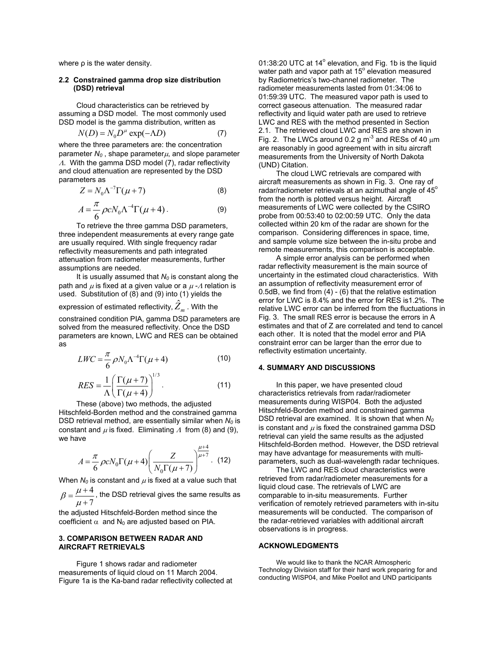where ρ is the water density.

### **2.2 Constrained gamma drop size distribution (DSD) retrieval**

 Cloud characteristics can be retrieved by assuming a DSD model. The most commonly used DSD model is the gamma distribution, written as

$$
N(D) = N_0 D^{\mu} \exp(-\Lambda D)
$$
 (7)

where the three parameters are: the concentration parameter  $N_0$ , shape parameter $\mu$ , and slope parameter <sup>Λ</sup>. With the gamma DSD model (7), radar reflectivity and cloud attenuation are represented by the DSD parameters as

$$
Z = N_0 \Lambda^{-7} \Gamma(\mu + 7)
$$
 (8)

$$
A = \frac{\pi}{6} \rho c N_0 \Lambda^{-4} \Gamma(\mu + 4) \,. \tag{9}
$$

 To retrieve the three gamma DSD parameters, three independent measurements at every range gate are usually required. With single frequency radar reflectivity measurements and path integrated attenuation from radiometer measurements, further assumptions are needed.

It is usually assumed that  $N_0$  is constant along the path and  $\mu$  is fixed at a given value or a  $\mu$  - $\Lambda$  relation is used. Substitution of (8) and (9) into (1) yields the

# expression of estimated reflectivity,  $\hat{Z}_m$  . With the

constrained condition PIA, gamma DSD parameters are solved from the measured reflectivity. Once the DSD parameters are known, LWC and RES can be obtained as

$$
LWC = \frac{\pi}{6} \rho N_0 \Lambda^{-4} \Gamma(\mu + 4)
$$
 (10)

$$
RES = \frac{1}{\Lambda} \left( \frac{\Gamma(\mu + 7)}{\Gamma(\mu + 4)} \right)^{1/3}.
$$
 (11)

 These (above) two methods, the adjusted Hitschfeld-Borden method and the constrained gamma DSD retrieval method, are essentially similar when *N*<sup>0</sup> is constant and  $\mu$  is fixed. Eliminating  $\Lambda$  from (8) and (9), we have

$$
A = \frac{\pi}{6} \rho c N_0 \Gamma(\mu + 4) \left( \frac{Z}{N_0 \Gamma(\mu + 7)} \right)^{\frac{\mu + 4}{\mu + 7}}.
$$
 (12)

When  $N_0$  is constant and  $\mu$  is fixed at a value such that 4  $\beta = \frac{\mu}{\sigma}$ 

7  $=\frac{\mu+4}{\mu+7}$ , the DSD retrieval gives the same results as the adjusted Hitschfeld-Borden method since the

coefficient  $\alpha$  and N<sub>0</sub> are adjusted based on PIA.

## **3. COMPARISON BETWEEN RADAR AND AIRCRAFT RETRIEVALS**

 Figure 1 shows radar and radiometer measurements of liquid cloud on 11 March 2004. Figure 1a is the Ka-band radar reflectivity collected at

01:38:20 UTC at 14° elevation, and Fig. 1b is the liquid water path and vapor path at 15° elevation measured by Radiometrics's two-channel radiometer. The radiometer measurements lasted from 01:34:06 to 01:59:39 UTC. The measured vapor path is used to correct gaseous attenuation. The measured radar reflectivity and liquid water path are used to retrieve LWC and RES with the method presented in Section 2.1. The retrieved cloud LWC and RES are shown in Fig. 2. The LWCs around 0.2 g  $m<sup>-3</sup>$  and RESs of 40  $\mu$ m are reasonably in good agreement with in situ aircraft measurements from the University of North Dakota (UND) Citation.

 The cloud LWC retrievals are compared with aircraft measurements as shown in Fig. 3. One ray of radar/radiometer retrievals at an azimuthal angle of  $45^{\circ}$ from the north is plotted versus height. Aircraft measurements of LWC were collected by the CSIRO probe from 00:53:40 to 02:00:59 UTC. Only the data collected within 20 km of the radar are shown for the comparison. Considering differences in space, time, and sample volume size between the in-situ probe and remote measurements, this comparison is acceptable.

 A simple error analysis can be performed when radar reflectivity measurement is the main source of uncertainty in the estimated cloud characteristics. With an assumption of reflectivity measurement error of 0.5dB, we find from (4) - (6) that the relative estimation error for LWC is 8.4% and the error for RES is1.2%. The relative LWC error can be inferred from the fluctuations in Fig. 3. The small RES error is because the errors in A estimates and that of Z are correlated and tend to cancel each other. It is noted that the model error and PIA constraint error can be larger than the error due to reflectivity estimation uncertainty.

# **4. SUMMARY AND DISCUSSIONS**

 In this paper, we have presented cloud characteristics retrievals from radar/radiometer measurements during WISP04. Both the adjusted Hitschfeld-Borden method and constrained gamma DSD retrieval are examined. It is shown that when  $N_0$ is constant and  $\mu$  is fixed the constrained gamma DSD retrieval can yield the same results as the adjusted Hitschfeld-Borden method. However, the DSD retrieval may have advantage for measurements with multiparameters, such as dual-wavelength radar techniques.

 The LWC and RES cloud characteristics were retrieved from radar/radiometer measurements for a liquid cloud case. The retrievals of LWC are comparable to in-situ measurements. Further verification of remotely retrieved parameters with in-situ measurements will be conducted. The comparison of the radar-retrieved variables with additional aircraft observations is in progress.

### **ACKNOWLEDGMENTS**

 We would like to thank the NCAR Atmospheric Technology Division staff for their hard work preparing for and conducting WISP04, and Mike Poellot and UND participants